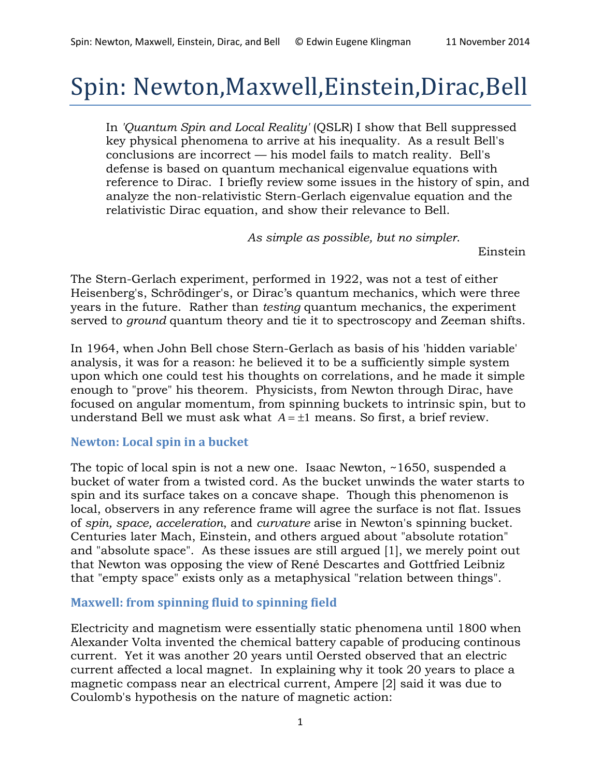Einstein

# Spin: Newton,Maxwell,Einstein,Dirac,Bell

In *'Quantum Spin and Local Reality'* (QSLR) I show that Bell suppressed key physical phenomena to arrive at his inequality. As a result Bell's conclusions are incorrect — his model fails to match reality. Bell's defense is based on quantum mechanical eigenvalue equations with reference to Dirac. I briefly review some issues in the history of spin, and analyze the non-relativistic Stern-Gerlach eigenvalue equation and the relativistic Dirac equation, and show their relevance to Bell.

*As simple as possible, but no simpler*.

The Stern-Gerlach experiment, performed in 1922, was not a test of either Heisenberg's, Schrödinger's, or Dirac's quantum mechanics, which were three years in the future. Rather than *testing* quantum mechanics, the experiment served to *ground* quantum theory and tie it to spectroscopy and Zeeman shifts.

In 1964, when John Bell chose Stern-Gerlach as basis of his 'hidden variable' analysis, it was for a reason: he believed it to be a sufficiently simple system upon which one could test his thoughts on correlations, and he made it simple enough to "prove" his theorem. Physicists, from Newton through Dirac, have focused on angular momentum, from spinning buckets to intrinsic spin, but to understand Bell we must ask what  $A = \pm 1$  means. So first, a brief review.

#### **Newton: Local spin in a bucket**

The topic of local spin is not a new one. Isaac Newton, ~1650, suspended a bucket of water from a twisted cord. As the bucket unwinds the water starts to spin and its surface takes on a concave shape. Though this phenomenon is local, observers in any reference frame will agree the surface is not flat. Issues of *spin, space, acceleration*, and *curvature* arise in Newton's spinning bucket. Centuries later Mach, Einstein, and others argued about "absolute rotation" and "absolute space". As these issues are still argued [1], we merely point out that Newton was opposing the view of René Descartes and Gottfried Leibniz that "empty space" exists only as a metaphysical "relation between things".

#### **Maxwell: from spinning fluid to spinning field**

Electricity and magnetism were essentially static phenomena until 1800 when Alexander Volta invented the chemical battery capable of producing continous current. Yet it was another 20 years until Oersted observed that an electric current affected a local magnet. In explaining why it took 20 years to place a magnetic compass near an electrical current, Ampere [2] said it was due to Coulomb's hypothesis on the nature of magnetic action: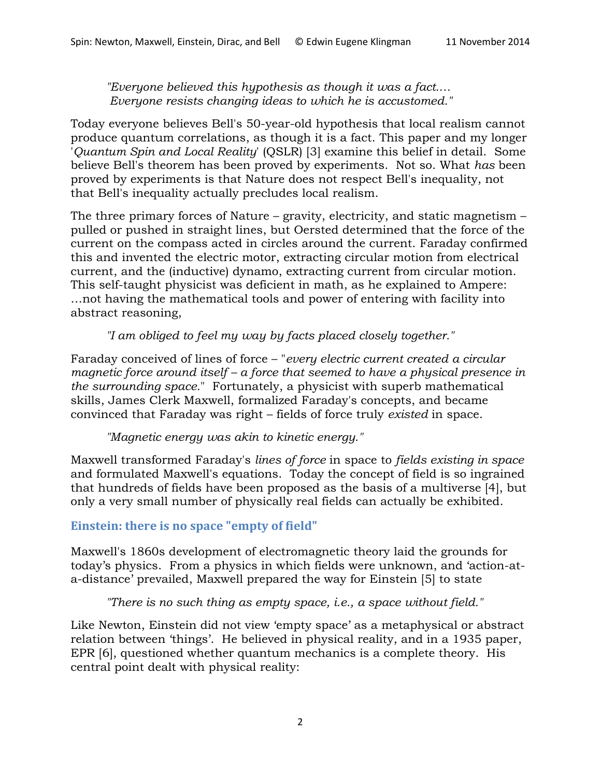*"Everyone believed this hypothesis as though it was a fact.… Everyone resists changing ideas to which he is accustomed."*

Today everyone believes Bell's 50-year-old hypothesis that local realism cannot produce quantum correlations, as though it is a fact. This paper and my longer '*Quantum Spin and Local Reality*' (QSLR) [3] examine this belief in detail. Some believe Bell's theorem has been proved by experiments. Not so. What *has* been proved by experiments is that Nature does not respect Bell's inequality, not that Bell's inequality actually precludes local realism.

The three primary forces of Nature – gravity, electricity, and static magnetism – pulled or pushed in straight lines, but Oersted determined that the force of the current on the compass acted in circles around the current. Faraday confirmed this and invented the electric motor, extracting circular motion from electrical current, and the (inductive) dynamo, extracting current from circular motion. This self-taught physicist was deficient in math, as he explained to Ampere: …not having the mathematical tools and power of entering with facility into abstract reasoning,

*"I am obliged to feel my way by facts placed closely together."*

Faraday conceived of lines of force – "*every electric current created a circular magnetic force around itself – a force that seemed to have a physical presence in the surrounding space.*" Fortunately, a physicist with superb mathematical skills, James Clerk Maxwell, formalized Faraday's concepts, and became convinced that Faraday was right – fields of force truly *existed* in space.

*"Magnetic energy was akin to kinetic energy."*

Maxwell transformed Faraday's *lines of force* in space to *fields existing in space* and formulated Maxwell's equations. Today the concept of field is so ingrained that hundreds of fields have been proposed as the basis of a multiverse [4], but only a very small number of physically real fields can actually be exhibited.

## **Einstein: there is no space "empty of field"**

Maxwell's 1860s development of electromagnetic theory laid the grounds for today's physics. From a physics in which fields were unknown, and 'action-ata-distance' prevailed, Maxwell prepared the way for Einstein [5] to state

*"There is no such thing as empty space, i.e., a space without field."*

Like Newton, Einstein did not view 'empty space' as a metaphysical or abstract relation between 'things'. He believed in physical reality, and in a 1935 paper, EPR [6], questioned whether quantum mechanics is a complete theory. His central point dealt with physical reality: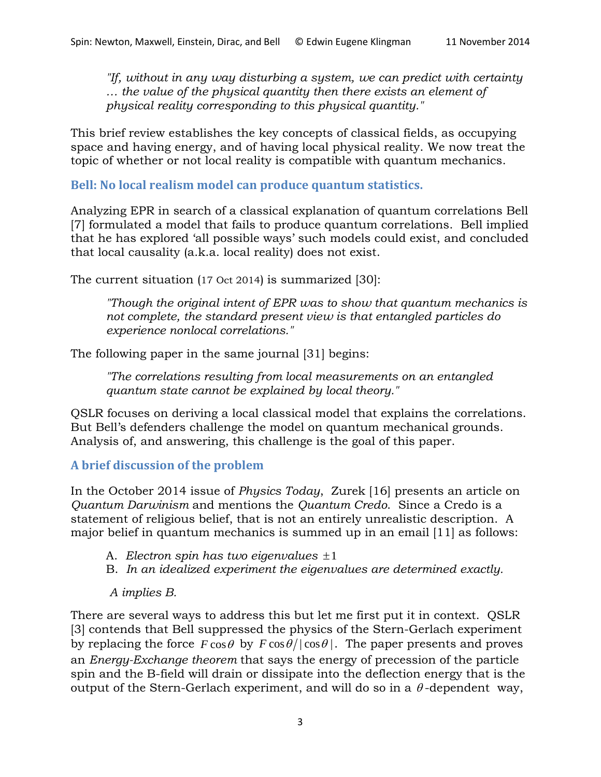*"If, without in any way disturbing a system, we can predict with certainty … the value of the physical quantity then there exists an element of physical reality corresponding to this physical quantity."*

This brief review establishes the key concepts of classical fields, as occupying space and having energy, and of having local physical reality. We now treat the topic of whether or not local reality is compatible with quantum mechanics.

**Bell: No local realism model can produce quantum statistics.**

Analyzing EPR in search of a classical explanation of quantum correlations Bell [7] formulated a model that fails to produce quantum correlations. Bell implied that he has explored 'all possible ways' such models could exist, and concluded that local causality (a.k.a. local reality) does not exist.

The current situation (17 Oct 2014) is summarized [30]:

*"Though the original intent of EPR was to show that quantum mechanics is not complete, the standard present view is that entangled particles do experience nonlocal correlations."*

The following paper in the same journal [31] begins:

*"The correlations resulting from local measurements on an entangled quantum state cannot be explained by local theory."*

QSLR focuses on deriving a local classical model that explains the correlations. But Bell's defenders challenge the model on quantum mechanical grounds. Analysis of, and answering, this challenge is the goal of this paper.

# **A brief discussion of the problem**

In the October 2014 issue of *Physics Today*, Zurek [16] presents an article on *Quantum Darwinism* and mentions the *Quantum Credo*. Since a Credo is a statement of religious belief, that is not an entirely unrealistic description. A major belief in quantum mechanics is summed up in an email [11] as follows:

- A. *Electron spin has two eigenvalues* ±1
- B. *In an idealized experiment the eigenvalues are determined exactly.*

## *A implies B.*

There are several ways to address this but let me first put it in context. QSLR [3] contends that Bell suppressed the physics of the Stern-Gerlach experiment by replacing the force  $F \cos \theta$  by  $F \cos \theta / |\cos \theta|$ . The paper presents and proves an *Energy-Exchange theorem* that says the energy of precession of the particle spin and the B-field will drain or dissipate into the deflection energy that is the output of the Stern-Gerlach experiment, and will do so in a  $\theta$ -dependent way,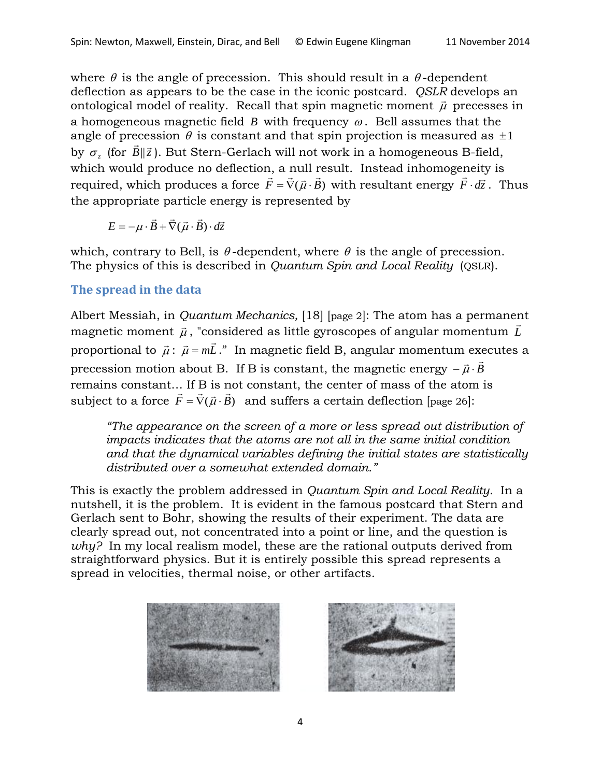where  $\theta$  is the angle of precession. This should result in a  $\theta$ -dependent deflection as appears to be the case in the iconic postcard. *QSLR* develops an ontological model of reality. Recall that spin magnetic moment  $\vec{\mu}$  precesses in a homogeneous magnetic field  $B$  with frequency  $\omega$ . Bell assumes that the angle of precession  $\theta$  is constant and that spin projection is measured as  $\pm 1$ by  $\sigma_z$  (for  $B\|\vec{z}$  $\vec{B}$ || $\vec{z}$ ). But Stern-Gerlach will not work in a homogeneous B-field, which would produce no deflection, a null result. Instead inhomogeneity is which would produce no deficition, a numericant. Instead inhomogeneity<br>required, which produces a force  $\vec{F} = \vec{\nabla}(\vec{\mu} \cdot \vec{B})$  with resultant energy  $\vec{F} \cdot d\vec{z}$  $\cdot d\vec{z}$ . Thus the appropriate particle energy is represented by

$$
E = -\mu \cdot \vec{B} + \vec{\nabla}(\vec{\mu} \cdot \vec{B}) \cdot d\vec{z}
$$

which, contrary to Bell, is  $\theta$ -dependent, where  $\theta$  is the angle of precession. The physics of this is described in *Quantum Spin and Local Reality* (QSLR).

## **The spread in the data**

Albert Messiah, in *Quantum Mechanics,* [18] [page 2]: The atom has a permanent magnetic moment  $\vec{\mu}$ , "considered as little gyroscopes of angular momentum  $\vec{L}$ proportional to  $\vec{\mu}$ :  $\vec{\mu}$  =  $m\vec{L}$ ." In magnetic field B, angular momentum executes a precession motion about B. If B is constant, the magnetic energy  $-\vec{\mu} \cdot \vec{B}$ remains constant… If B is not constant, the center of mass of the atom is subject to a force  $\vec{F} = \vec{\nabla}(\vec{\mu} \cdot \vec{B})$  and suffers a certain deflection [page 26]:

*"The appearance on the screen of a more or less spread out distribution of impacts indicates that the atoms are not all in the same initial condition and that the dynamical variables defining the initial states are statistically distributed over a somewhat extended domain."*

This is exactly the problem addressed in *Quantum Spin and Local Reality.* In a nutshell, it is the problem. It is evident in the famous postcard that Stern and Gerlach sent to Bohr, showing the results of their experiment. The data are clearly spread out, not concentrated into a point or line, and the question is *why?* In my local realism model, these are the rational outputs derived from straightforward physics. But it is entirely possible this spread represents a spread in velocities, thermal noise, or other artifacts.



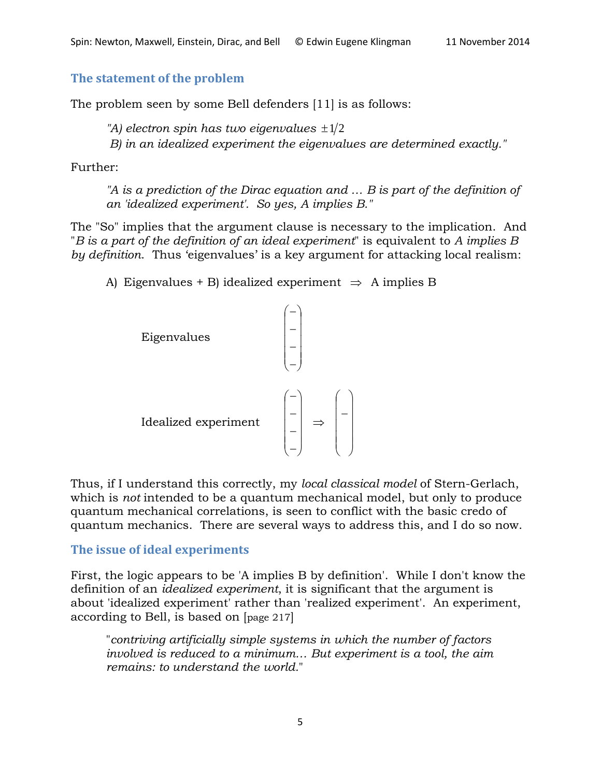#### **The statement of the problem**

The problem seen by some Bell defenders [11] is as follows:

*"A) electron spin has two eigenvalues*  $\pm 1/2$ 

*B) in an idealized experiment the eigenvalues are determined exactly."*

Further:

*"A is a prediction of the Dirac equation and ... B is part of the definition of an 'idealized experiment'. So yes, A implies B."*

The "So" implies that the argument clause is necessary to the implication. And "*B is a part of the definition of an ideal experiment*" is equivalent to *A implies B by definition*. Thus 'eigenvalues' is a key argument for attacking local realism:

A) Eigenvalues + B) idealized experiment  $\Rightarrow$  A implies B



Thus, if I understand this correctly, my *local classical model* of Stern-Gerlach, which is *not* intended to be a quantum mechanical model, but only to produce quantum mechanical correlations, is seen to conflict with the basic credo of quantum mechanics. There are several ways to address this, and I do so now.

#### **The issue of ideal experiments**

First, the logic appears to be 'A implies B by definition'. While I don't know the definition of an *idealized experiment*, it is significant that the argument is about 'idealized experiment' rather than 'realized experiment'. An experiment, according to Bell, is based on [page 217]

"*contriving artificially simple systems in which the number of factors involved is reduced to a minimum… But experiment is a tool, the aim remains: to understand the world.*"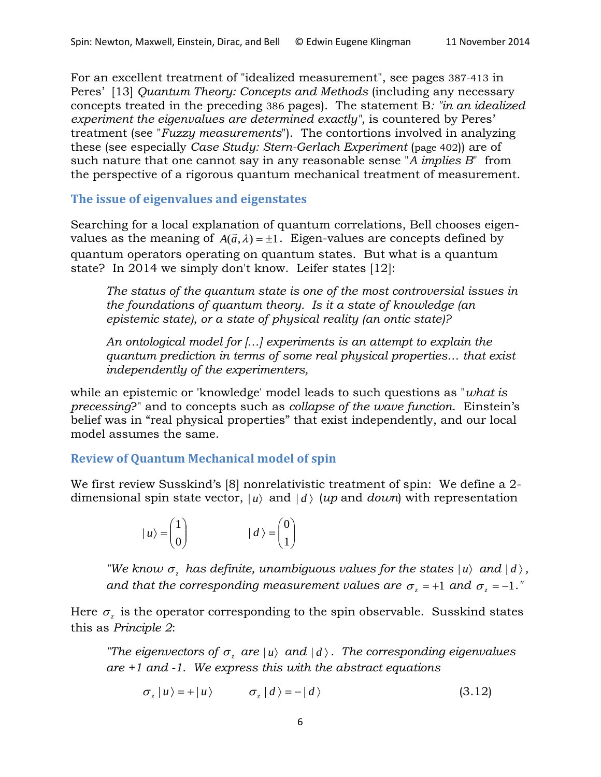For an excellent treatment of "idealized measurement", see pages 387-413 in Peres' [13] *Quantum Theory: Concepts and Methods* (including any necessary concepts treated in the preceding 386 pages). The statement B*: "in an idealized experiment the eigenvalues are determined exactly"*, is countered by Peres' treatment (see "*Fuzzy measurements*"). The contortions involved in analyzing these (see especially *Case Study: Stern-Gerlach Experiment* (page 402)) are of such nature that one cannot say in any reasonable sense "*A implies B*" from the perspective of a rigorous quantum mechanical treatment of measurement.

**The issue of eigenvalues and eigenstates**

Searching for a local explanation of quantum correlations, Bell chooses eigenvalues as the meaning of  $A(\vec{a},\lambda) = \pm 1$ . Eigen-values are concepts defined by quantum operators operating on quantum states. But what is a quantum state? In 2014 we simply don't know. Leifer states [12]:

*The status of the quantum state is one of the most controversial issues in the foundations of quantum theory. Is it a state of knowledge (an epistemic state), or a state of physical reality (an ontic state)?*

*An ontological model for […] experiments is an attempt to explain the quantum prediction in terms of some real physical properties… that exist independently of the experimenters,*

while an epistemic or 'knowledge' model leads to such questions as "*what is precessing*?" and to concepts such as *collapse of the wave function*. Einstein's belief was in "real physical properties" that exist independently, and our local model assumes the same.

#### **Review of Quantum Mechanical model of spin**

We first review Susskind's [8] nonrelativistic treatment of spin: We define a 2 dimensional spin state vector,  $|u\rangle$  and  $|d\rangle$  (*up* and *down*) with representation

$$
|u\rangle = \begin{pmatrix} 1 \\ 0 \end{pmatrix} \qquad |d\rangle = \begin{pmatrix} 0 \\ 1 \end{pmatrix}
$$

*"We know*  $\sigma$  *has definite, unambiguous values for the states*  $|u\rangle$  *and*  $|d\rangle$ , *and that the corresponding measurement values are*  $\sigma_z$  *= +1 and*  $\sigma_z$  *= -1."* 

Here  $\sigma$ <sub>z</sub> is the operator corresponding to the spin observable. Susskind states this as *Principle 2*:

*"The eigenvectors of*  $\sigma_z$  *are*  $|u\rangle$  *and*  $|d\rangle$ . *The corresponding eigenvalues are +1 and -1. We express this with the abstract equations*

$$
\sigma_z |u\rangle = + |u\rangle \qquad \sigma_z |d\rangle = -|d\rangle \qquad (3.12)
$$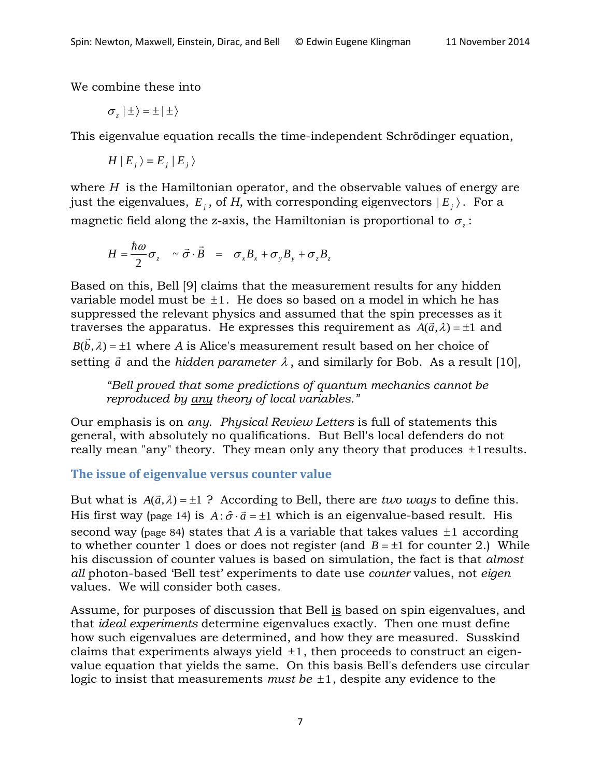We combine these into

$$
\sigma_z \mid \pm \rangle = \pm \mid \pm \rangle
$$

This eigenvalue equation recalls the time-independent Schrödinger equation,

$$
H | E_j \rangle = E_j | E_j \rangle
$$

where *H* is the Hamiltonian operator, and the observable values of energy are just the eigenvalues,  $E_i$ , of *H*, with corresponding eigenvectors  $|E_i\rangle$ . For a magnetic field along the z-axis, the Hamiltonian is proportional to  $\sigma$ .

$$
H = \frac{\hbar \omega}{2} \sigma_z \sim \vec{\sigma} \cdot \vec{B} = \sigma_x B_x + \sigma_y B_y + \sigma_z B_z
$$

Based on this, Bell [9] claims that the measurement results for any hidden variable model must be  $\pm 1$ . He does so based on a model in which he has suppressed the relevant physics and assumed that the spin precesses as it traverses the apparatus. He expresses this requirement as  $A(\vec{a}, \lambda) = \pm 1$  and

 $B(\vec{b},\lambda) = \pm 1$  where *A* is Alice's measurement result based on her choice of  $\mathcal{L}(\mathcal{S}, \mathcal{N})$  and the *hidden parameter*  $\lambda$ , and similarly for Bob. As a result [10],

*"Bell proved that some predictions of quantum mechanics cannot be reproduced by any theory of local variables."* 

Our emphasis is on *any*. *Physical Review Letters* is full of statements this general, with absolutely no qualifications. But Bell's local defenders do not really mean "any" theory. They mean only any theory that produces  $\pm 1$  results.

## **The issue of eigenvalue versus counter value**

But what is  $A(\vec{a}, \lambda) = \pm 1$  ? According to Bell, there are *two ways* to define this. His first way (page 14) is  $A : \hat{\sigma} \cdot \vec{a} = \pm 1$  which is an eigenvalue-based result. His second way (page 84) states that *A* is a variable that takes values  $\pm 1$  according to whether counter 1 does or does not register (and  $B = \pm 1$  for counter 2.) While his discussion of counter values is based on simulation, the fact is that *almost all* photon-based 'Bell test' experiments to date use *counter* values, not *eigen* values. We will consider both cases.

Assume, for purposes of discussion that Bell is based on spin eigenvalues, and that *ideal experiments* determine eigenvalues exactly. Then one must define how such eigenvalues are determined, and how they are measured. Susskind claims that experiments always yield  $\pm 1$ , then proceeds to construct an eigenvalue equation that yields the same. On this basis Bell's defenders use circular logic to insist that measurements *must be* ±1, despite any evidence to the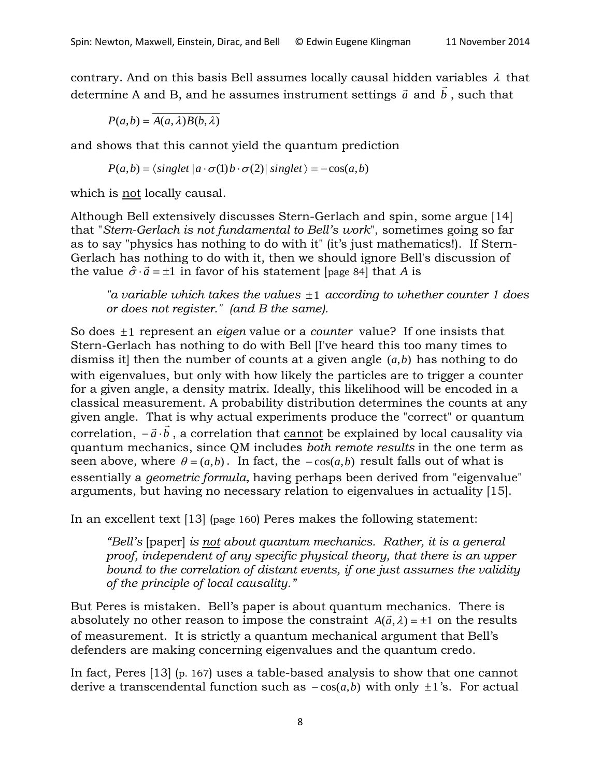contrary. And on this basis Bell assumes locally causal hidden variables  $\lambda$  that determine A and B, and he assumes instrument settings  $\vec{a}$  and  $\vec{b}$ , such that

 $P(a,b) = \overline{A(a,\lambda)B(b,\lambda)}$ 

and shows that this cannot yield the quantum prediction

 $P(a,b) = \langle singlet \, | \, a \cdot \sigma(1) \, b \cdot \sigma(2) | \, singlet \, \rangle = -\cos(a,b)$ 

which is not locally causal.

Although Bell extensively discusses Stern-Gerlach and spin, some argue [14] that "*Stern-Gerlach is not fundamental to Bell's work*", sometimes going so far as to say "physics has nothing to do with it" (it's just mathematics!). If Stern-Gerlach has nothing to do with it, then we should ignore Bell's discussion of the value  $\hat{\sigma} \cdot \vec{a} = \pm 1$  in favor of his statement [page 84] that *A* is

*"a variable which takes the values* ±1 *according to whether counter 1 does or does not register." (and B the same).*

So does ±1 represent an *eigen* value or a *counter* value? If one insists that Stern-Gerlach has nothing to do with Bell [I've heard this too many times to dismiss it] then the number of counts at a given angle (*a*,*b*) has nothing to do with eigenvalues, but only with how likely the particles are to trigger a counter for a given angle, a density matrix. Ideally, this likelihood will be encoded in a classical measurement. A probability distribution determines the counts at any given angle. That is why actual experiments produce the "correct" or quantum given angle. That is why actual experiments produce the correct or quantum<br>correlation,  $-\vec{a}\cdot\vec{b}$  , a correlation that <u>cannot</u> be explained by local causality via quantum mechanics, since QM includes *both remote results* in the one term as seen above, where  $\theta = (a,b)$ . In fact, the  $-\cos(a,b)$  result falls out of what is essentially a *geometric formula,* having perhaps been derived from "eigenvalue" arguments, but having no necessary relation to eigenvalues in actuality [15].

In an excellent text [13] (page 160) Peres makes the following statement:

*"Bell's* [paper] *is not about quantum mechanics. Rather, it is a general proof, independent of any specific physical theory, that there is an upper bound to the correlation of distant events, if one just assumes the validity of the principle of local causality."*

But Peres is mistaken. Bell's paper is about quantum mechanics. There is absolutely no other reason to impose the constraint  $A(\vec{a}, \lambda) = \pm 1$  on the results of measurement. It is strictly a quantum mechanical argument that Bell's defenders are making concerning eigenvalues and the quantum credo.

In fact, Peres [13] (p. 167) uses a table-based analysis to show that one cannot derive a transcendental function such as  $-cos(a, b)$  with only  $\pm 1$ 's. For actual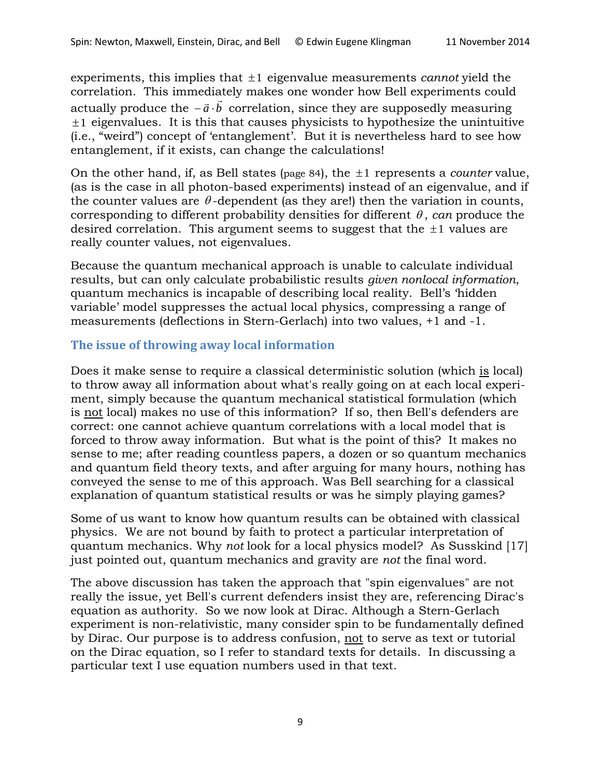experiments, this implies that ±1 eigenvalue measurements *cannot* yield the correlation. This immediately makes one wonder how Bell experiments could  $\alpha$  correlation. This immediately makes one wonder now ben experiments could<br>actually produce the  $-\vec{a} \cdot \vec{b}$  correlation, since they are supposedly measuring  $±1$  eigenvalues. It is this that causes physicists to hypothesize the unintuitive (i.e., "weird") concept of 'entanglement'. But it is nevertheless hard to see how entanglement, if it exists, can change the calculations!

On the other hand, if, as Bell states (page 84), the ±1 represents a *counter* value, (as is the case in all photon-based experiments) instead of an eigenvalue, and if the counter values are  $\theta$ -dependent (as they are!) then the variation in counts, corresponding to different probability densities for different  $\theta$ , *can* produce the desired correlation. This argument seems to suggest that the  $\pm 1$  values are really counter values, not eigenvalues.

Because the quantum mechanical approach is unable to calculate individual results, but can only calculate probabilistic results *given nonlocal information*, quantum mechanics is incapable of describing local reality. Bell's 'hidden variable' model suppresses the actual local physics, compressing a range of measurements (deflections in Stern-Gerlach) into two values, +1 and -1.

## **The issue of throwing away local information**

Does it make sense to require a classical deterministic solution (which is local) to throw away all information about what's really going on at each local experiment, simply because the quantum mechanical statistical formulation (which is not local) makes no use of this information? If so, then Bell's defenders are correct: one cannot achieve quantum correlations with a local model that is forced to throw away information. But what is the point of this? It makes no sense to me; after reading countless papers, a dozen or so quantum mechanics and quantum field theory texts, and after arguing for many hours, nothing has conveyed the sense to me of this approach. Was Bell searching for a classical explanation of quantum statistical results or was he simply playing games?

Some of us want to know how quantum results can be obtained with classical physics. We are not bound by faith to protect a particular interpretation of quantum mechanics. Why *not* look for a local physics model? As Susskind [17] just pointed out, quantum mechanics and gravity are *not* the final word.

The above discussion has taken the approach that "spin eigenvalues" are not really the issue, yet Bell's current defenders insist they are, referencing Dirac's equation as authority. So we now look at Dirac. Although a Stern-Gerlach experiment is non-relativistic, many consider spin to be fundamentally defined by Dirac. Our purpose is to address confusion, not to serve as text or tutorial on the Dirac equation, so I refer to standard texts for details. In discussing a particular text I use equation numbers used in that text.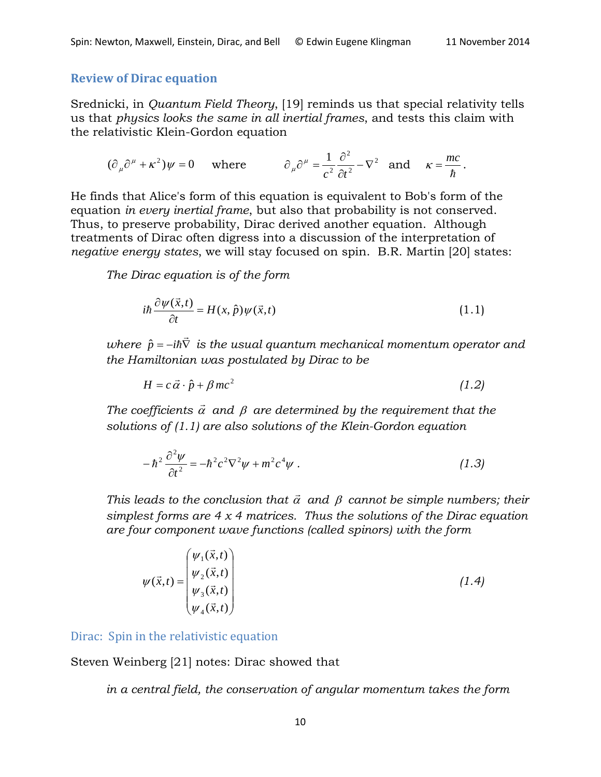#### **Review of Dirac equation**

Srednicki, in *Quantum Field Theory*, [19] reminds us that special relativity tells us that *physics looks the same in all inertial frames*, and tests this claim with the relativistic Klein-Gordon equation

$$
(\partial_{\mu}\partial^{\mu} + \kappa^{2})\psi = 0
$$
 where  $\partial_{\mu}\partial^{\mu} = \frac{1}{c^{2}}\frac{\partial^{2}}{\partial t^{2}} - \nabla^{2}$  and  $\kappa = \frac{mc}{\hbar}$ .

He finds that Alice's form of this equation is equivalent to Bob's form of the equation *in every inertial frame*, but also that probability is not conserved. Thus, to preserve probability, Dirac derived another equation. Although treatments of Dirac often digress into a discussion of the interpretation of *negative energy states*, we will stay focused on spin. B.R. Martin [20] states:

*The Dirac equation is of the form*

$$
i\hbar \frac{\partial \psi(\vec{x},t)}{\partial t} = H(x,\hat{p})\psi(\vec{x},t)
$$
\n(1.1)

*where*  $\hat{p}$  *= −iħ* $\bar{\nabla}$  *is the usual quantum mechanical momentum operator and the Hamiltonian was postulated by Dirac to be*

$$
H = c\,\vec{\alpha}\cdot\hat{p} + \beta\,mc^2\tag{1.2}
$$

The coefficients  $\vec{\alpha}$  and  $\beta$  are determined by the requirement that the *solutions of (1.1) are also solutions of the Klein-Gordon equation*

$$
-\hbar^2\frac{\partial^2\psi}{\partial t^2} = -\hbar^2c^2\nabla^2\psi + m^2c^4\psi\ .
$$
 (1.3)

*This leads to the conclusion that*  $\vec{a}$  and  $\beta$  *cannot be simple numbers; their simplest forms are 4 x 4 matrices. Thus the solutions of the Dirac equation are four component wave functions (called spinors) with the form*

$$
\psi(\vec{x},t) = \begin{pmatrix} \psi_1(\vec{x},t) \\ \psi_2(\vec{x},t) \\ \psi_3(\vec{x},t) \\ \psi_4(\vec{x},t) \end{pmatrix}
$$
\n(1.4)

Dirac: Spin in the relativistic equation

Steven Weinberg [21] notes: Dirac showed that

*in a central field, the conservation of angular momentum takes the form*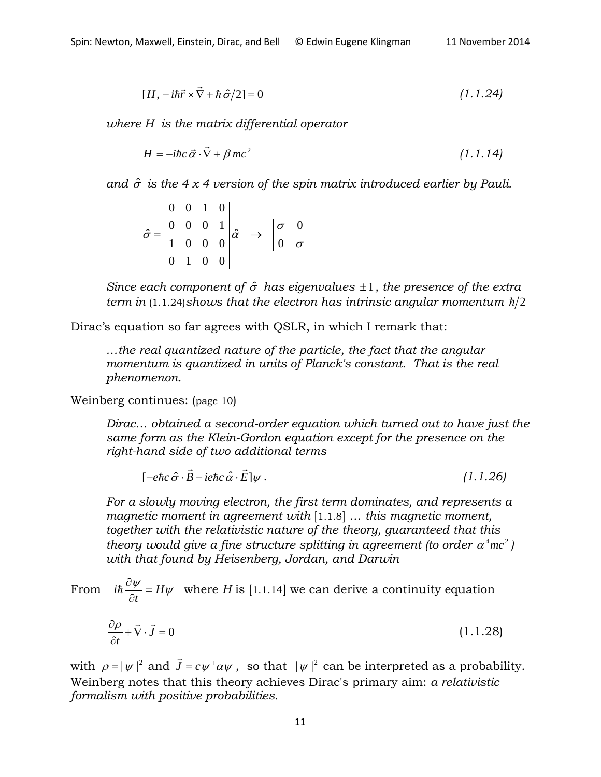$$
[H, -i\hbar \vec{r} \times \vec{\nabla} + \hbar \,\hat{\sigma}/2] = 0 \tag{1.1.24}
$$

*where H is the matrix differential operator*

$$
H = -i\hbar c \,\vec{\alpha} \cdot \vec{\nabla} + \beta \, mc^2 \tag{1.1.14}
$$

*and*  $\hat{\sigma}$  *is the 4 x 4 version of the spin matrix introduced earlier by Pauli.* 

$$
\hat{\sigma} = \begin{vmatrix} 0 & 0 & 1 & 0 \\ 0 & 0 & 0 & 1 \\ 1 & 0 & 0 & 0 \\ 0 & 1 & 0 & 0 \end{vmatrix} \hat{\alpha} \rightarrow \begin{vmatrix} \sigma & 0 \\ 0 & \sigma \end{vmatrix}
$$

*Since each component of* σˆ *has eigenvalues* ±1*, the presence of the extra term in* (1.1.24)*shows that the electron has intrinsic angular momentum*  $\hbar/2$ 

Dirac's equation so far agrees with QSLR, in which I remark that:

*…the real quantized nature of the particle, the fact that the angular momentum is quantized in units of Planck's constant. That is the real phenomenon.*

Weinberg continues: (page 10)

*Dirac… obtained a second-order equation which turned out to have just the same form as the Klein-Gordon equation except for the presence on the right-hand side of two additional terms*

$$
[-e\hbar c \hat{\sigma} \cdot \vec{B} - ie\hbar c \hat{\alpha} \cdot \vec{E}]\psi. \qquad (1.1.26)
$$

*For a slowly moving electron, the first term dominates, and represents a magnetic moment in agreement with* [1.1.8] … *this magnetic moment, together with the relativistic nature of the theory, guaranteed that this theory would give a fine structure splitting in agreement (to order*  $\alpha^4mc^2$ *) with that found by Heisenberg, Jordan, and Darwin*

From 
$$
i\hbar \frac{\partial \psi}{\partial t} = H\psi
$$
 where *H* is [1.1.14] we can derive a continuity equation

$$
\frac{\partial \rho}{\partial t} + \vec{\nabla} \cdot \vec{J} = 0 \tag{1.1.28}
$$

with  $\rho = |\psi|^2$  and  $\vec{J} = c \psi^+ \alpha \psi$ , so that  $|\psi|^2$  can be interpreted as a probability. Weinberg notes that this theory achieves Dirac's primary aim: *a relativistic formalism with positive probabilities.*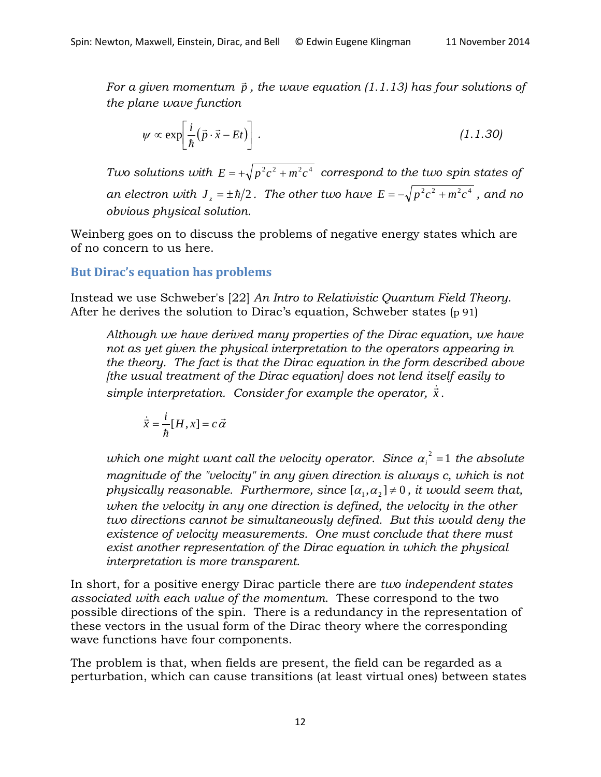*For a given momentum p , the wave equation (1.1.13) has four solutions of the plane wave function*

$$
\psi \propto \exp\left[\frac{i}{\hbar}(\vec{p}\cdot\vec{x}-Et)\right].
$$
 (1.1.30)

*Two solutions with*  $E = +\sqrt{p^2c^2 + m^2c^4}$  *correspond to the two spin states of an electron with*  $J_z = \pm \hbar/2$ . The other two have  $E = -\sqrt{p^2 c^2 + m^2 c^4}$ , and no *obvious physical solution.*

Weinberg goes on to discuss the problems of negative energy states which are of no concern to us here.

## **But Dirac's equation has problems**

Instead we use Schweber's [22] *An Intro to Relativistic Quantum Field Theory*. After he derives the solution to Dirac's equation, Schweber states (p 91)

*Although we have derived many properties of the Dirac equation, we have not as yet given the physical interpretation to the operators appearing in the theory. The fact is that the Dirac equation in the form described above [the usual treatment of the Dirac equation] does not lend itself easily to*  simple interpretation. Consider for example the operator,  $\dot{x}$ .

$$
\dot{\vec{x}} = \frac{i}{\hbar} [H, x] = c \, \vec{\alpha}
$$

which one might want call the velocity operator. Since  $\alpha_i^2 = 1$  the absolute *magnitude of the "velocity" in any given direction is always c, which is not physically reasonable. Furthermore, since*  $[\alpha_1, \alpha_2] \neq 0$ , *it would seem that, when the velocity in any one direction is defined, the velocity in the other two directions cannot be simultaneously defined. But this would deny the existence of velocity measurements. One must conclude that there must exist another representation of the Dirac equation in which the physical interpretation is more transparent.*

In short, for a positive energy Dirac particle there are *two independent states associated with each value of the momentum*. These correspond to the two possible directions of the spin. There is a redundancy in the representation of these vectors in the usual form of the Dirac theory where the corresponding wave functions have four components.

The problem is that, when fields are present, the field can be regarded as a perturbation, which can cause transitions (at least virtual ones) between states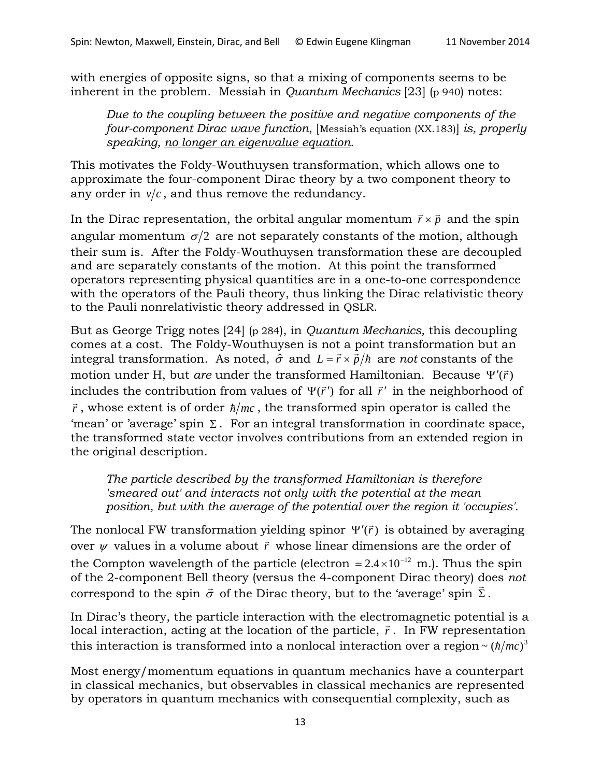with energies of opposite signs, so that a mixing of components seems to be inherent in the problem. Messiah in *Quantum Mechanics* [23] (p 940) notes:

*Due to the coupling between the positive and negative components of the four-component Dirac wave function*, [Messiah's equation (XX.183)] *is, properly speaking, no longer an eigenvalue equation.* 

This motivates the Foldy-Wouthuysen transformation, which allows one to approximate the four-component Dirac theory by a two component theory to any order in  $v/c$ , and thus remove the redundancy.

In the Dirac representation, the orbital angular momentum  $\vec{r} \times \vec{p}$  and the spin angular momentum  $\sigma/2$  are not separately constants of the motion, although their sum is. After the Foldy-Wouthuysen transformation these are decoupled and are separately constants of the motion. At this point the transformed operators representing physical quantities are in a one-to-one correspondence with the operators of the Pauli theory, thus linking the Dirac relativistic theory to the Pauli nonrelativistic theory addressed in QSLR.

But as George Trigg notes [24] (p 284), in *Quantum Mechanics,* this decoupling comes at a cost. The Foldy-Wouthuysen is not a point transformation but an integral transformation. As noted,  $\hat{\sigma}$  and  $L = \vec{r} \times \vec{p}/\hbar$  are *not* constants of the motion under H, but *are* under the transformed Hamiltonian. Because  $\Psi'(\vec{r})$ includes the contribution from values of  $\Psi(\vec{r}')$  for all  $\vec{r}'$  in the neighborhood of  $\vec{r}$ , whose extent is of order  $\hbar/mc$ , the transformed spin operator is called the 'mean' or 'average' spin  $\Sigma$ . For an integral transformation in coordinate space, the transformed state vector involves contributions from an extended region in the original description.

*The particle described by the transformed Hamiltonian is therefore 'smeared out' and interacts not only with the potential at the mean position, but with the average of the potential over the region it 'occupies'.*

The nonlocal FW transformation yielding spinor  $\Psi'(\vec{r})$  is obtained by averaging  $\frac{1}{2}$  restributes in a volume about  $\vec{r}$  whose linear dimensions are the order of the Compton wavelength of the particle (electron =  $2.4 \times 10^{-12}$  m.). Thus the spin of the 2-component Bell theory (versus the 4-component Dirac theory) does *not* of the z-component Ben theory (versus the 4-component Briac theory)  $\alpha$ <br>correspond to the spin  $\vec{\sigma}$  of the Dirac theory, but to the 'average' spin  $\vec{\Sigma}$ .

In Dirac's theory, the particle interaction with the electromagnetic potential is a In Dhaces theory, the particle interaction with the electromagnetic potential is a local interaction, acting at the location of the particle,  $\vec{r}$ . In FW representation this interaction is transformed into a nonlocal interaction over a region  $\sim (\hbar/mc)^3$ 

Most energy/momentum equations in quantum mechanics have a counterpart in classical mechanics, but observables in classical mechanics are represented by operators in quantum mechanics with consequential complexity, such as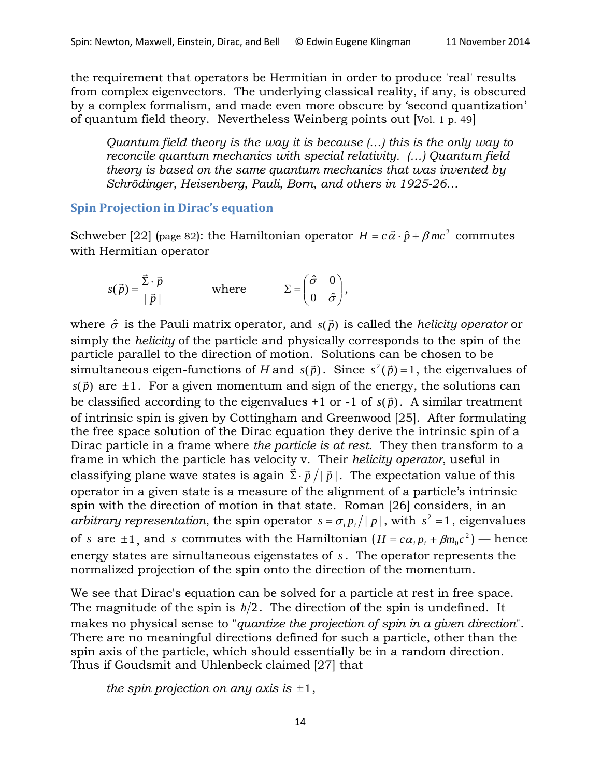the requirement that operators be Hermitian in order to produce 'real' results from complex eigenvectors. The underlying classical reality, if any, is obscured by a complex formalism, and made even more obscure by 'second quantization' of quantum field theory. Nevertheless Weinberg points out [Vol. 1 p. 49]

*Quantum field theory is the way it is because (…) this is the only way to reconcile quantum mechanics with special relativity. (…) Quantum field theory is based on the same quantum mechanics that was invented by Schrödinger, Heisenberg, Pauli, Born, and others in 1925-26…*

#### **Spin Projection in Dirac's equation**

Schweber [22] (page 82): the Hamiltonian operator  $H = c\vec{\alpha} \cdot \hat{p} + \beta mc^2$  commutes with Hermitian operator

$$
s(\vec{p}) = \frac{\vec{\Sigma} \cdot \vec{p}}{|\vec{p}|} \quad \text{where} \quad \Sigma = \begin{pmatrix} \hat{\sigma} & 0 \\ 0 & \hat{\sigma} \end{pmatrix},
$$

where  $\hat{\sigma}$  is the Pauli matrix operator, and  $\,s(\vec{p})$  is called the *helicity operator* or simply the *helicity* of the particle and physically corresponds to the spin of the particle parallel to the direction of motion. Solutions can be chosen to be  $\frac{1}{2}$  simultaneous eigen-functions of *H* and  $s(\vec{p})$ . Since  $s^2(\vec{p}) = 1$ , the eigenvalues of  $s(\vec{p})$  are  $\pm 1$ . For a given momentum and sign of the energy, the solutions can be classified according to the eigenvalues  $+1$  or  $-1$  of  $s(\vec{p})$ . A similar treatment of intrinsic spin is given by Cottingham and Greenwood [25]. After formulating the free space solution of the Dirac equation they derive the intrinsic spin of a Dirac particle in a frame where *the particle is at rest*. They then transform to a frame in which the particle has velocity v. Their *helicity operator*, useful in classifying plane wave states is again  $\vec{\Sigma} \cdot \vec{p} / |\vec{p}|$ . The expectation value of this operator in a given state is a measure of the alignment of a particle's intrinsic spin with the direction of motion in that state. Roman [26] considers, in an *arbitrary representation*, the spin operator  $s = \sigma_i p_i / |p|$ , with  $s^2 = 1$ , eigenvalues of *s* are  $\pm 1$ , and *s* commutes with the Hamiltonian  $(H = c\alpha_i p_i + \beta m_0 c^2)$  — hence energy states are simultaneous eigenstates of *s*. The operator represents the normalized projection of the spin onto the direction of the momentum.

We see that Dirac's equation can be solved for a particle at rest in free space. The magnitude of the spin is  $\hbar/2$ . The direction of the spin is undefined. It makes no physical sense to "*quantize the projection of spin in a given direction*". There are no meaningful directions defined for such a particle, other than the spin axis of the particle, which should essentially be in a random direction. Thus if Goudsmit and Uhlenbeck claimed [27] that

*the spin projection on any axis is*  $\pm 1$ *,*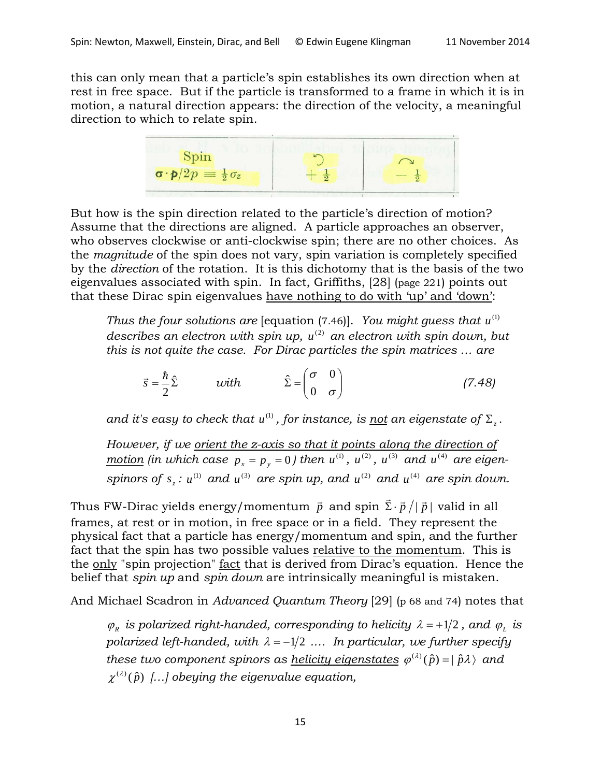this can only mean that a particle's spin establishes its own direction when at rest in free space. But if the particle is transformed to a frame in which it is in motion, a natural direction appears: the direction of the velocity, a meaningful direction to which to relate spin.

$$
\begin{array}{c|c}\n\hline\n\text{Spin} \\
\hline\n\sigma \cdot \mathbf{p}/2p = \frac{1}{2}\sigma_z \\
\hline\n\end{array}\n\qquad\n\begin{array}{c}\n\hline\n\text{Spin} \\
+\frac{1}{2} \\
\hline\n\end{array}\n\qquad\n\begin{array}{c}\n\hline\n\text{Spin} \\
-\frac{1}{2} \\
\hline\n\end{array}
$$

But how is the spin direction related to the particle's direction of motion? Assume that the directions are aligned. A particle approaches an observer, who observes clockwise or anti-clockwise spin; there are no other choices. As the *magnitude* of the spin does not vary, spin variation is completely specified by the *direction* of the rotation. It is this dichotomy that is the basis of the two eigenvalues associated with spin. In fact, Griffiths, [28] (page 221) points out that these Dirac spin eigenvalues have nothing to do with 'up' and 'down':

*Thus the four solutions are [equation (7.46)]. You might guess that*  $u^{(1)}$ *describes an electron with spin up, u<sup>(2)</sup> an electron with spin down, but this is not quite the case. For Dirac particles the spin matrices … are*

$$
\vec{s} = \frac{\hbar}{2}\hat{\Sigma} \qquad \text{with} \qquad \hat{\Sigma} = \begin{pmatrix} \sigma & 0 \\ 0 & \sigma \end{pmatrix} \tag{7.48}
$$

*and it's easy to check that*  $u^{(1)}$ *, for instance, is <u>not</u> an eigenstate of*  $\Sigma$ *<sub><i>z</sub>*.</sub>

*However, if we orient the z-axis so that it points along the direction of motion* (in which case  $p_x = p_y = 0$ ) then  $u^{(1)}$ ,  $u^{(2)}$ ,  $u^{(3)}$  and  $u^{(4)}$  are eigen*spinors of*  $s_z$  *:*  $u^{(1)}$  *and*  $u^{(3)}$  *are spin up, and*  $u^{(2)}$  *and*  $u^{(4)}$  *are spin down.* 

Thus FW-Dirac yields energy/momentum  $\vec{p}$  and spin  $\vec{\Sigma}\cdot\vec{p}\,/\vert\,\vec{p}\,\vert$  valid in all frames, at rest or in motion, in free space or in a field. They represent the physical fact that a particle has energy/momentum and spin, and the further fact that the spin has two possible values relative to the momentum. This is the only "spin projection" fact that is derived from Dirac's equation. Hence the belief that *spin up* and *spin down* are intrinsically meaningful is mistaken.

And Michael Scadron in *Advanced Quantum Theory* [29] (p 68 and 74) notes that

 $\varphi_R$  *is polarized right-handed, corresponding to helicity*  $\lambda = +1/2$ *, and*  $\varphi_L$  *is polarized left-handed, with*  $\lambda = -1/2$  *....* In particular, we further specify *these two component spinors as <u>helicity eigenstates</u>*  $\varphi^{(\lambda)}(\hat{p}) = |\hat{p}\lambda\rangle$  *and*  $\chi^{(\lambda)}(\hat{p})$  [...] obeying the eigenvalue equation,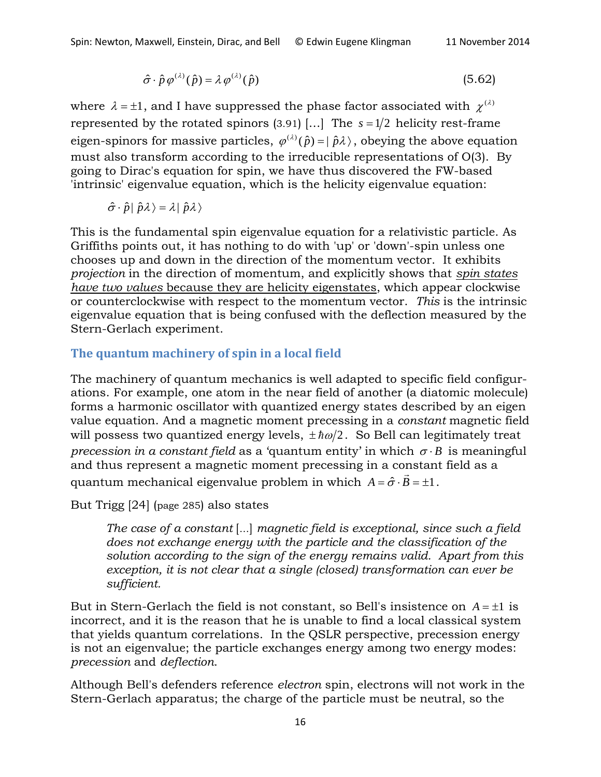$$
\hat{\sigma} \cdot \hat{p} \varphi^{(\lambda)}(\hat{p}) = \lambda \varphi^{(\lambda)}(\hat{p}) \tag{5.62}
$$

where  $\lambda = \pm 1$ , and I have suppressed the phase factor associated with  $\chi^{(\lambda)}$ represented by the rotated spinors (3.91) [...] The  $s = 1/2$  helicity rest-frame eigen-spinors for massive particles,  $\varphi^{(\lambda)}(\hat{p}) = |\hat{p}\lambda\rangle$ , obeying the above equation must also transform according to the irreducible representations of O(3). By going to Dirac's equation for spin, we have thus discovered the FW-based 'intrinsic' eigenvalue equation, which is the helicity eigenvalue equation:

$$
\hat{\sigma} \cdot \hat{p} | \hat{p}\lambda \rangle = \lambda | \hat{p}\lambda \rangle
$$

This is the fundamental spin eigenvalue equation for a relativistic particle. As Griffiths points out, it has nothing to do with 'up' or 'down'-spin unless one chooses up and down in the direction of the momentum vector. It exhibits *projection* in the direction of momentum, and explicitly shows that *spin states have two values* because they are helicity eigenstates, which appear clockwise or counterclockwise with respect to the momentum vector. *This* is the intrinsic eigenvalue equation that is being confused with the deflection measured by the Stern-Gerlach experiment.

## **The quantum machinery of spin in a local field**

The machinery of quantum mechanics is well adapted to specific field configurations. For example, one atom in the near field of another (a diatomic molecule) forms a harmonic oscillator with quantized energy states described by an eigen value equation. And a magnetic moment precessing in a *constant* magnetic field will possess two quantized energy levels,  $\pm \hbar \omega/2$ . So Bell can legitimately treat *precession in a constant field* as a 'quantum entity' in which  $\sigma \cdot B$  is meaningful and thus represent a magnetic moment precessing in a constant field as a quantum mechanical eigenvalue problem in which  $A = \hat{\sigma} \cdot \vec{B} = \pm 1$ .

But Trigg [24] (page 285) also states

*The case of a constant* […] *magnetic field is exceptional, since such a field does not exchange energy with the particle and the classification of the solution according to the sign of the energy remains valid. Apart from this exception, it is not clear that a single (closed) transformation can ever be sufficient.*

But in Stern-Gerlach the field is not constant, so Bell's insistence on  $A = \pm 1$  is incorrect, and it is the reason that he is unable to find a local classical system that yields quantum correlations. In the QSLR perspective, precession energy is not an eigenvalue; the particle exchanges energy among two energy modes: *precession* and *deflection*.

Although Bell's defenders reference *electron* spin, electrons will not work in the Stern-Gerlach apparatus; the charge of the particle must be neutral, so the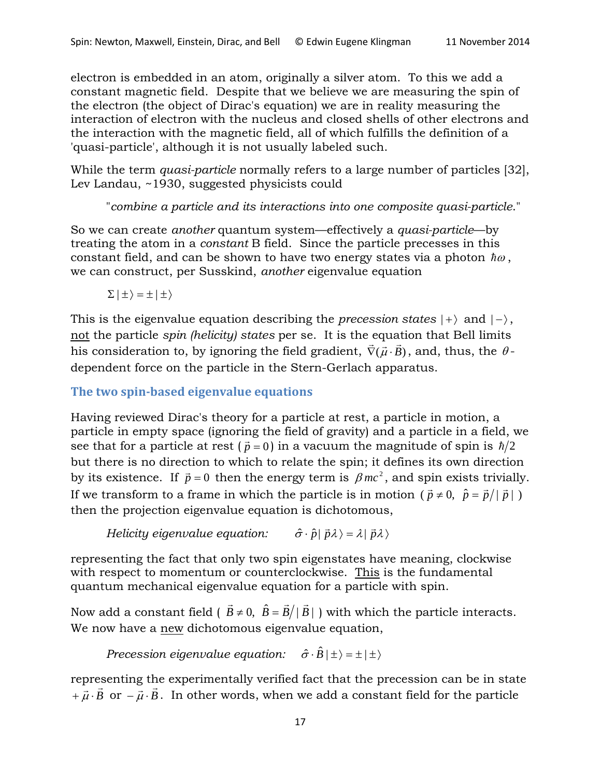electron is embedded in an atom, originally a silver atom. To this we add a constant magnetic field. Despite that we believe we are measuring the spin of the electron (the object of Dirac's equation) we are in reality measuring the interaction of electron with the nucleus and closed shells of other electrons and the interaction with the magnetic field, all of which fulfills the definition of a 'quasi-particle', although it is not usually labeled such.

While the term *quasi-particle* normally refers to a large number of particles [32], Lev Landau, ~1930, suggested physicists could

"*combine a particle and its interactions into one composite quasi-particle*."

So we can create *another* quantum system—effectively a *quasi-particle*—by treating the atom in a *constant* B field. Since the particle precesses in this constant field, and can be shown to have two energy states via a photon  $\hbar\omega$ , we can construct, per Susskind, *another* eigenvalue equation

 $\Sigma | \pm \rangle = \pm | \pm \rangle$ 

This is the eigenvalue equation describing the *precession states*  $|+\rangle$  and  $|-\rangle$ , not the particle *spin (helicity) states* per se. It is the equation that Bell limits  $\frac{\partial f}{\partial x}$  and the spin meadily states per set it is the equation that ben inners<br>his consideration to, by ignoring the field gradient,  $\vec{\nabla}(\vec{\mu} \cdot \vec{B})$ , and, thus, the  $\theta$ dependent force on the particle in the Stern-Gerlach apparatus.

**The two spin-based eigenvalue equations**

Having reviewed Dirac's theory for a particle at rest, a particle in motion, a particle in empty space (ignoring the field of gravity) and a particle in a field, we see that for a particle at rest ( $\vec{p} = 0$ ) in a vacuum the magnitude of spin is  $\hbar/2$ but there is no direction to which to relate the spin; it defines its own direction by its existence. If  $\vec{p} = 0$  then the energy term is  $\beta mc^2$ , and spin exists trivially. If we transform to a frame in which the particle is in motion ( $\vec{p} \neq 0$ ,  $\hat{p} = \vec{p}/|\vec{p}|$ ) then the projection eigenvalue equation is dichotomous,

*Helicity eigenvalue equation:*  $\hat{\sigma} \cdot \hat{p} | \vec{p} \lambda \rangle = \lambda | \vec{p} \lambda \rangle$ 

representing the fact that only two spin eigenstates have meaning, clockwise with respect to momentum or counterclockwise. This is the fundamental quantum mechanical eigenvalue equation for a particle with spin.

Now add a constant field ( $\vec{B} \neq 0$ ,  $\hat{B} = \vec{B}/|\vec{B}|$ ) with which the particle interacts. We now have a new dichotomous eigenvalue equation,

*Precession eigenvalue equation:*  $\hat{\sigma} \cdot \hat{B} | \pm \rangle = \pm | \pm \rangle$ 

representing the experimentally verified fact that the precession can be in state representing the experimentally vertice fact that the precession can be in state<br>+  $\vec{\mu} \cdot \vec{B}$  or  $-\vec{\mu} \cdot \vec{B}$ . In other words, when we add a constant field for the particle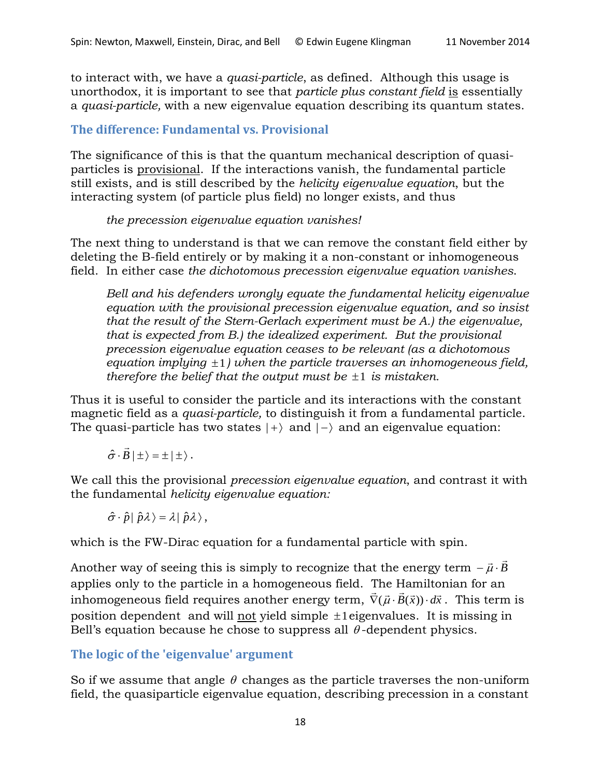to interact with, we have a *quasi-particle*, as defined. Although this usage is unorthodox, it is important to see that *particle plus constant field* is essentially a *quasi-particle,* with a new eigenvalue equation describing its quantum states.

## **The difference: Fundamental vs. Provisional**

The significance of this is that the quantum mechanical description of quasiparticles is provisional. If the interactions vanish, the fundamental particle still exists, and is still described by the *helicity eigenvalue equation*, but the interacting system (of particle plus field) no longer exists, and thus

#### *the precession eigenvalue equation vanishes!*

The next thing to understand is that we can remove the constant field either by deleting the B-field entirely or by making it a non-constant or inhomogeneous field. In either case *the dichotomous precession eigenvalue equation vanishes*.

*Bell and his defenders wrongly equate the fundamental helicity eigenvalue equation with the provisional precession eigenvalue equation, and so insist that the result of the Stern-Gerlach experiment must be A.) the eigenvalue, that is expected from B.) the idealized experiment. But the provisional precession eigenvalue equation ceases to be relevant (as a dichotomous equation implying* ±1*) when the particle traverses an inhomogeneous field, therefore the belief that the output must be*  $\pm 1$  *is mistaken.* 

Thus it is useful to consider the particle and its interactions with the constant magnetic field as a *quasi-particle,* to distinguish it from a fundamental particle. The quasi-particle has two states  $|+\rangle$  and  $|-\rangle$  and an eigenvalue equation:

 $\hat{\sigma} \cdot \vec{B} | \pm \rangle = \pm | \pm \rangle$ .

We call this the provisional *precession eigenvalue equation*, and contrast it with the fundamental *helicity eigenvalue equation:*

 $\hat{\sigma} \cdot \hat{p} | \hat{p} \lambda \rangle = \lambda | \hat{p} \lambda \rangle$ ,

which is the FW-Dirac equation for a fundamental particle with spin.

Another way of seeing this is simply to recognize that the energy term  $-\vec{\mu}\cdot\vec{B}$ applies only to the particle in a homogeneous field. The Hamiltonian for an applies only to the particle in a homogeneous field. The Hammonian for an<br>inhomogeneous field requires another energy term,  $\vec{\nabla}(\vec{\mu} \cdot \vec{B}(\vec{x})) \cdot d\vec{x}$ . This term is position dependent and will not yield simple ±1eigenvalues. It is missing in Bell's equation because he chose to suppress all  $\theta$ -dependent physics.

## **The logic of the 'eigenvalue' argument**

So if we assume that angle  $\theta$  changes as the particle traverses the non-uniform field, the quasiparticle eigenvalue equation, describing precession in a constant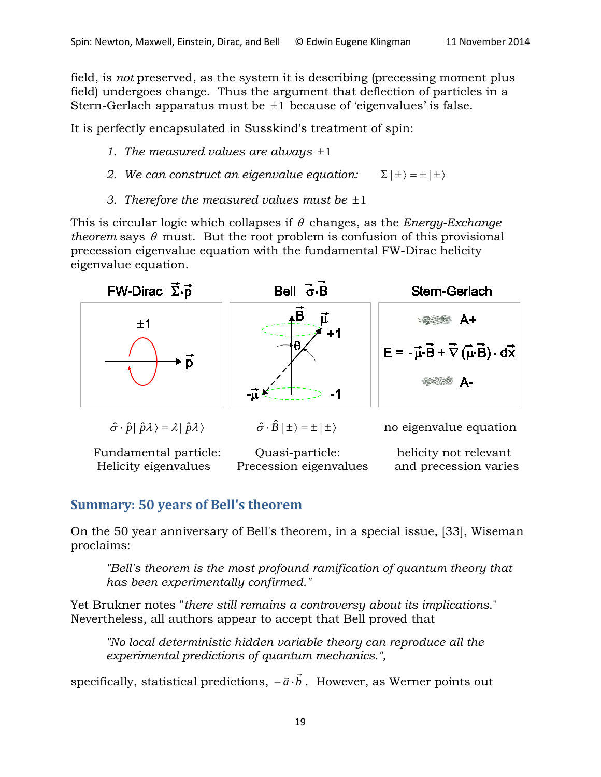field, is *not* preserved, as the system it is describing (precessing moment plus field) undergoes change. Thus the argument that deflection of particles in a Stern-Gerlach apparatus must be  $\pm 1$  because of 'eigenvalues' is false.

It is perfectly encapsulated in Susskind's treatment of spin:

- *1. The measured values are always* ±1
- *2. We can construct an eigenvalue equation:*  $\Sigma | \pm \rangle = \pm | \pm \rangle$
- *3. Therefore the measured values must be* ±1

This is circular logic which collapses if θ changes, as the *Energy-Exchange theorem* says  $\theta$  must. But the root problem is confusion of this provisional precession eigenvalue equation with the fundamental FW-Dirac helicity eigenvalue equation.



# **Summary: 50 years of Bell's theorem**

On the 50 year anniversary of Bell's theorem, in a special issue, [33], Wiseman proclaims:

*"Bell's theorem is the most profound ramification of quantum theory that has been experimentally confirmed."*

Yet Brukner notes "*there still remains a controversy about its implications*." Nevertheless, all authors appear to accept that Bell proved that

*"No local deterministic hidden variable theory can reproduce all the experimental predictions of quantum mechanics.",*

specifically, statistical predictions,  $-\vec{a}\cdot\vec{b}$  . However, as Werner points out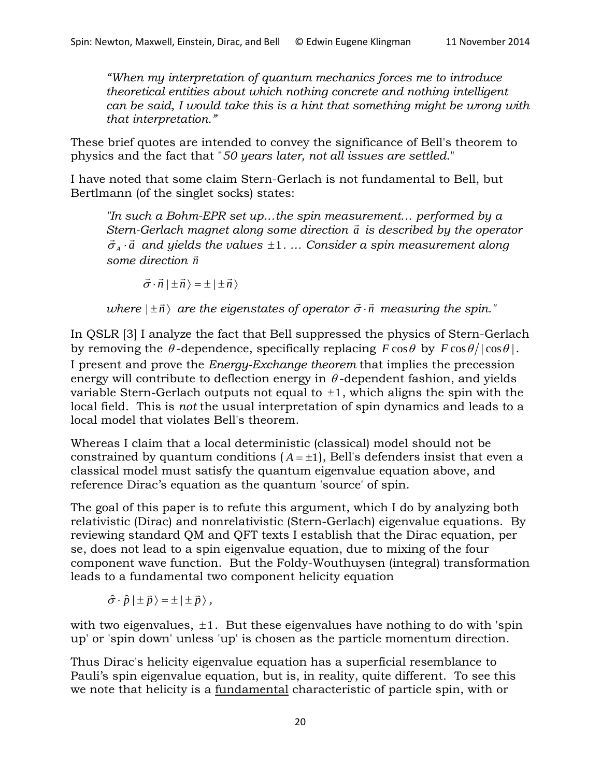*"When my interpretation of quantum mechanics forces me to introduce theoretical entities about which nothing concrete and nothing intelligent can be said, I would take this is a hint that something might be wrong with that interpretation."*

These brief quotes are intended to convey the significance of Bell's theorem to physics and the fact that "*50 years later, not all issues are settled*."

I have noted that some claim Stern-Gerlach is not fundamental to Bell, but Bertlmann (of the singlet socks) states:

*"In such a Bohm-EPR set up…the spin measurement… performed by a Stern-Gerlach magnet along some direction a is described by the operator*   $\vec{\sigma}_A \cdot \vec{a}$  and yields the values  $\pm 1$ . … Consider a spin measurement along *some direction n*

 $\vec{\sigma} \cdot \vec{n} | \pm \vec{n} \rangle = \pm | \pm \vec{n} \rangle$ 

 $where$   $|\pm \vec{n}\rangle$  are the eigenstates of operator  $\vec{\sigma}\cdot\vec{n}$  measuring the spin."

In QSLR [3] I analyze the fact that Bell suppressed the physics of Stern-Gerlach by removing the  $\theta$ -dependence, specifically replacing  $\vec{F} \cos \theta$  by  $\vec{F} \cos \theta / |\cos \theta|$ . I present and prove the *Energy-Exchange theorem* that implies the precession energy will contribute to deflection energy in  $\theta$ -dependent fashion, and yields variable Stern-Gerlach outputs not equal to  $\pm 1$ , which aligns the spin with the local field. This is *not* the usual interpretation of spin dynamics and leads to a local model that violates Bell's theorem.

Whereas I claim that a local deterministic (classical) model should not be constrained by quantum conditions  $(A = \pm 1)$ , Bell's defenders insist that even a classical model must satisfy the quantum eigenvalue equation above, and reference Dirac's equation as the quantum 'source' of spin.

The goal of this paper is to refute this argument, which I do by analyzing both relativistic (Dirac) and nonrelativistic (Stern-Gerlach) eigenvalue equations. By reviewing standard QM and QFT texts I establish that the Dirac equation, per se, does not lead to a spin eigenvalue equation, due to mixing of the four component wave function. But the Foldy-Wouthuysen (integral) transformation leads to a fundamental two component helicity equation

 $\hat{\sigma} \cdot \hat{p} | \pm \vec{p} \rangle = \pm | \pm \vec{p} \rangle$ ,

with two eigenvalues,  $\pm 1$ . But these eigenvalues have nothing to do with 'spin up' or 'spin down' unless 'up' is chosen as the particle momentum direction.

Thus Dirac's helicity eigenvalue equation has a superficial resemblance to Pauli's spin eigenvalue equation, but is, in reality, quite different. To see this we note that helicity is a fundamental characteristic of particle spin, with or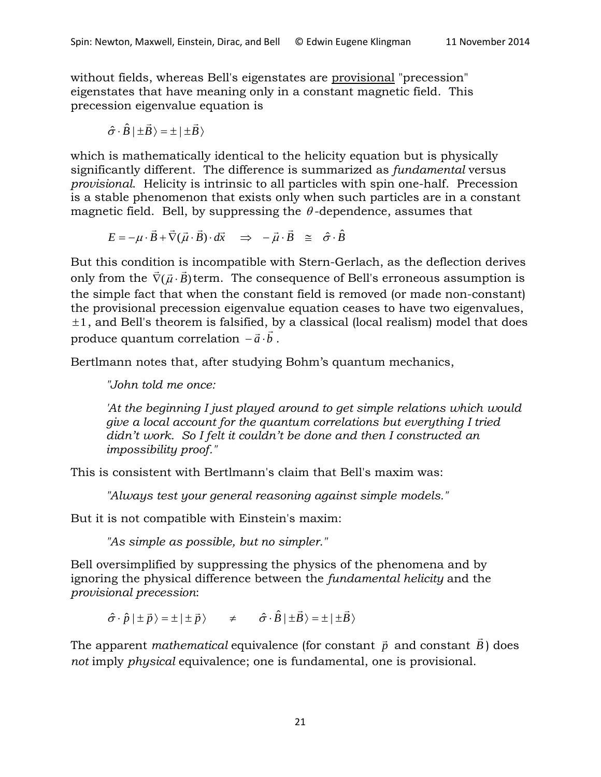without fields, whereas Bell's eigenstates are provisional "precession" eigenstates that have meaning only in a constant magnetic field. This precession eigenvalue equation is

$$
\hat{\sigma} \cdot \hat{B} \mid \pm \vec{B} \rangle = \pm \mid \pm \vec{B} \rangle
$$

which is mathematically identical to the helicity equation but is physically significantly different. The difference is summarized as *fundamental* versus *provisional*. Helicity is intrinsic to all particles with spin one-half. Precession is a stable phenomenon that exists only when such particles are in a constant magnetic field. Bell, by suppressing the  $\theta$ -dependence, assumes that

$$
E = -\mu \cdot \vec{B} + \vec{\nabla}(\vec{\mu} \cdot \vec{B}) \cdot d\vec{x} \quad \Rightarrow \quad -\vec{\mu} \cdot \vec{B} \quad \cong \quad \hat{\sigma} \cdot \hat{B}
$$

But this condition is incompatible with Stern-Gerlach, as the deflection derives  $\vec{D}$  at this condition is incompatible with stern-defiaen, as the deficition defives only from the  $\vec{\nabla}(\vec{\mu} \cdot \vec{B})$  term. The consequence of Bell's erroneous assumption is the simple fact that when the constant field is removed (or made non-constant) the provisional precession eigenvalue equation ceases to have two eigenvalues, ±1, and Bell's theorem is falsified, by a classical (local realism) model that does *n*, and ben's incorem is faismed, beta and ben's incore all about  $\vec{a} \cdot \vec{b}$ .

Bertlmann notes that, after studying Bohm's quantum mechanics,

*"John told me once:*

*'At the beginning I just played around to get simple relations which would give a local account for the quantum correlations but everything I tried didn't work. So I felt it couldn't be done and then I constructed an impossibility proof."*

This is consistent with Bertlmann's claim that Bell's maxim was:

*"Always test your general reasoning against simple models."*

But it is not compatible with Einstein's maxim:

*"As simple as possible, but no simpler."*

Bell oversimplified by suppressing the physics of the phenomena and by ignoring the physical difference between the *fundamental helicity* and the *provisional precession*:

 $\hat{\sigma} \cdot \hat{p} | \pm \vec{p} \rangle = \pm | \pm \vec{p} \rangle$   $\neq$   $\hat{\sigma} \cdot \hat{B} | \pm \vec{B} \rangle = \pm | \pm \vec{B} \rangle$ 

The apparent *mathematical* equivalence (for constant  $\vec{p}$  and constant  $\vec{B}$ ) does *not* imply *physical* equivalence; one is fundamental, one is provisional.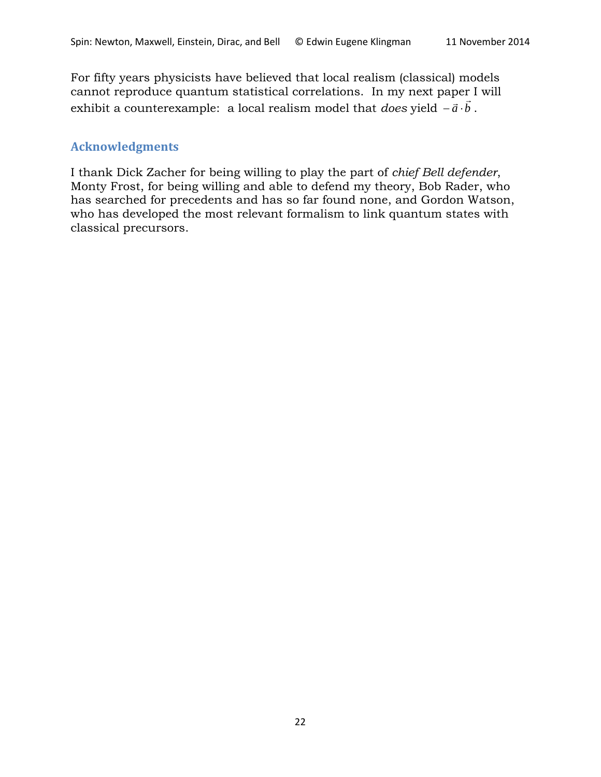For fifty years physicists have believed that local realism (classical) models cannot reproduce quantum statistical correlations. In my next paper I will exhibit a counterexample: a local realism model that *does* yield *a b* <sup>−</sup> <sup>⋅</sup> .

### **Acknowledgments**

I thank Dick Zacher for being willing to play the part of *chief Bell defender*, Monty Frost, for being willing and able to defend my theory, Bob Rader, who has searched for precedents and has so far found none, and Gordon Watson, who has developed the most relevant formalism to link quantum states with classical precursors.